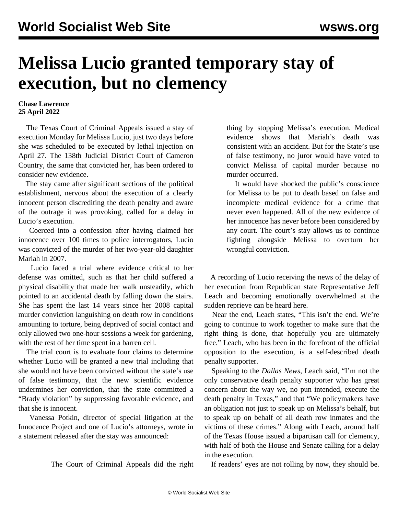## **Melissa Lucio granted temporary stay of execution, but no clemency**

## **Chase Lawrence 25 April 2022**

 The Texas Court of Criminal Appeals issued a stay of execution Monday for Melissa Lucio, just two days before she was scheduled to be executed by lethal injection on April 27. The 138th Judicial District Court of Cameron Country, the same that convicted her, has been ordered to consider new evidence.

 The stay came after significant sections of the political establishment, nervous about the execution of a clearly innocent person discrediting the death penalty and aware of the [outrage](/en/articles/2022/04/25/luci-a25.html) it was provoking, called for a delay in Lucio's execution.

 Coerced into a confession after having claimed her innocence over 100 times to police interrogators, Lucio was convicted of the murder of her two-year-old daughter Mariah in 2007.

 Lucio faced a trial where evidence critical to her defense was omitted, such as that her child suffered a physical disability that made her walk unsteadily, which pointed to an accidental death by falling down the stairs. She has spent the last 14 years since her 2008 capital murder conviction languishing on death row in conditions amounting to torture, being deprived of social contact and only allowed two one-hour sessions a week for gardening, with the rest of her time spent in a barren cell.

 The trial court is to evaluate four claims to determine whether Lucio will be granted a new trial including that she would not have been convicted without the state's use of false testimony, that the new scientific evidence undermines her conviction, that the state committed a "Brady violation" by suppressing favorable evidence, and that she is innocent.

 Vanessa Potkin, director of special litigation at the Innocence Project and one of Lucio's attorneys, wrote in a statement released after the stay was announced:

The Court of Criminal Appeals did the right

thing by stopping Melissa's execution. Medical evidence shows that Mariah's death was consistent with an accident. But for the State's use of false testimony, no juror would have voted to convict Melissa of capital murder because no murder occurred.

 It would have shocked the public's conscience for Melissa to be put to death based on false and incomplete medical evidence for a crime that never even happened. All of the new evidence of her innocence has never before been considered by any court. The court's stay allows us to continue fighting alongside Melissa to overturn her wrongful conviction.

 A recording of Lucio receiving the news of the delay of her execution from Republican state Representative Jeff Leach and becoming emotionally overwhelmed at the sudden reprieve can be heard [here](https://twitter.com/ShaneClaiborne/status/1518692622973423619?s=20&t=Wp0hLo94-QsAwTGV6lcjSQ).

 Near the end, Leach states, "This isn't the end. We're going to continue to work together to make sure that the right thing is done, that hopefully you are ultimately free." Leach, who has been in the forefront of the official opposition to the execution, is a self-described death penalty supporter.

 Speaking to the *Dallas News*, Leach said, "I'm not the only conservative death penalty supporter who has great concern about the way we, no pun intended, execute the death penalty in Texas," and that "We policymakers have an obligation not just to speak up on Melissa's behalf, but to speak up on behalf of all death row inmates and the victims of these crimes." Along with Leach, around half of the Texas House issued a bipartisan call for clemency, with half of both the House and Senate calling for a delay in the execution.

If readers' eyes are not rolling by now, they should be.